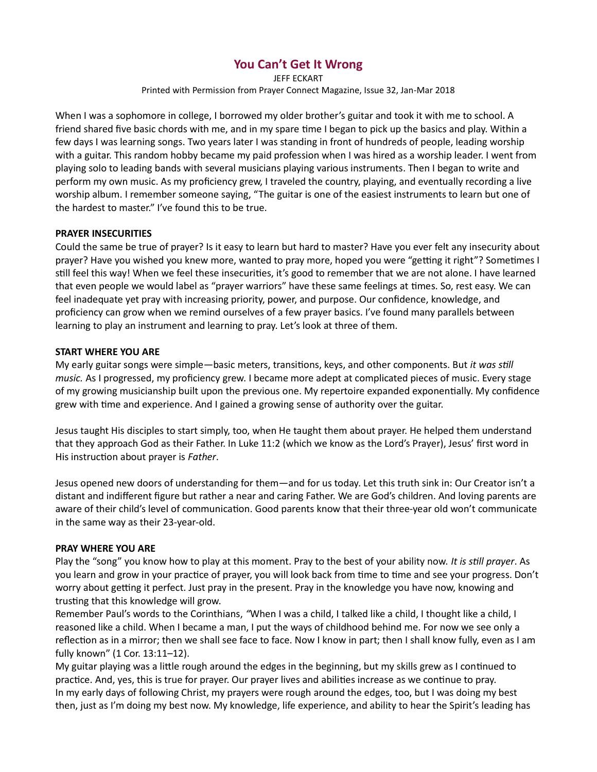# You Can't Get It Wrong

JEFF ECKART Printed with Permission from Prayer Connect Magazine, Issue 32, Jan-Mar 2018

When I was a sophomore in college, I borrowed my older brother's guitar and took it with me to school. A friend shared five basic chords with me, and in my spare time I began to pick up the basics and play. Within a few days I was learning songs. Two years later I was standing in front of hundreds of people, leading worship with a guitar. This random hobby became my paid profession when I was hired as a worship leader. I went from playing solo to leading bands with several musicians playing various instruments. Then I began to write and perform my own music. As my proficiency grew, I traveled the country, playing, and eventually recording a live worship album. I remember someone saying, "The guitar is one of the easiest instruments to learn but one of the hardest to master." I've found this to be true.

### PRAYER INSECURITIES

Could the same be true of prayer? Is it easy to learn but hard to master? Have you ever felt any insecurity about prayer? Have you wished you knew more, wanted to pray more, hoped you were "getting it right"? Sometimes I still feel this way! When we feel these insecurities, it's good to remember that we are not alone. I have learned that even people we would label as "prayer warriors" have these same feelings at times. So, rest easy. We can feel inadequate yet pray with increasing priority, power, and purpose. Our confidence, knowledge, and proficiency can grow when we remind ourselves of a few prayer basics. I've found many parallels between learning to play an instrument and learning to pray. Let's look at three of them.

### START WHERE YOU ARE

My early guitar songs were simple—basic meters, transitions, keys, and other components. But it was still music. As I progressed, my proficiency grew. I became more adept at complicated pieces of music. Every stage of my growing musicianship built upon the previous one. My repertoire expanded exponentially. My confidence grew with time and experience. And I gained a growing sense of authority over the guitar.

Jesus taught His disciples to start simply, too, when He taught them about prayer. He helped them understand that they approach God as their Father. In Luke 11:2 (which we know as the Lord's Prayer), Jesus' first word in His instruction about prayer is Father.

Jesus opened new doors of understanding for them—and for us today. Let this truth sink in: Our Creator isn't a distant and indifferent figure but rather a near and caring Father. We are God's children. And loving parents are aware of their child's level of communication. Good parents know that their three-year old won't communicate in the same way as their 23-year-old.

### PRAY WHERE YOU ARE

Play the "song" you know how to play at this moment. Pray to the best of your ability now. It is still prayer. As you learn and grow in your practice of prayer, you will look back from time to time and see your progress. Don't worry about getting it perfect. Just pray in the present. Pray in the knowledge you have now, knowing and trusting that this knowledge will grow.

Remember Paul's words to the Corinthians, "When I was a child, I talked like a child, I thought like a child, I reasoned like a child. When I became a man, I put the ways of childhood behind me. For now we see only a reflection as in a mirror; then we shall see face to face. Now I know in part; then I shall know fully, even as I am fully known" (1 Cor. 13:11–12).

My guitar playing was a little rough around the edges in the beginning, but my skills grew as I continued to practice. And, yes, this is true for prayer. Our prayer lives and abilities increase as we continue to pray. In my early days of following Christ, my prayers were rough around the edges, too, but I was doing my best then, just as I'm doing my best now. My knowledge, life experience, and ability to hear the Spirit's leading has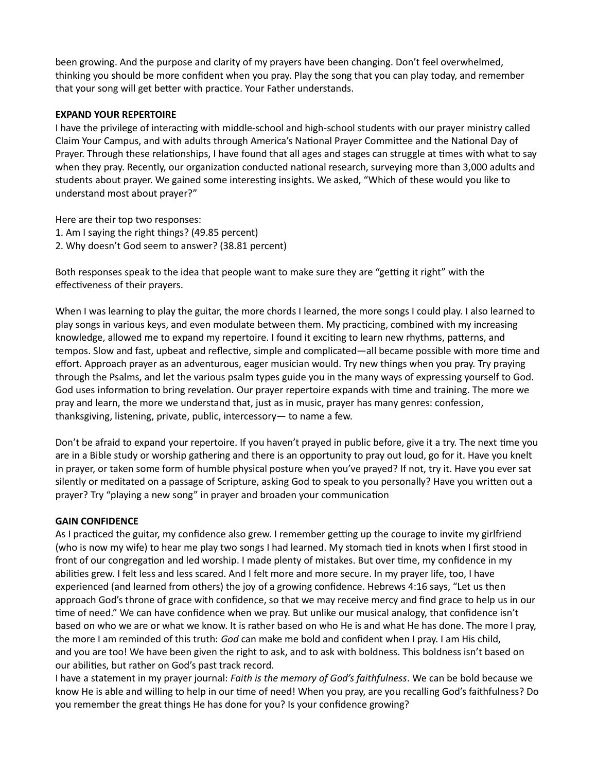been growing. And the purpose and clarity of my prayers have been changing. Don't feel overwhelmed, thinking you should be more confident when you pray. Play the song that you can play today, and remember that your song will get better with practice. Your Father understands.

## EXPAND YOUR REPERTOIRE

I have the privilege of interacting with middle-school and high-school students with our prayer ministry called Claim Your Campus, and with adults through America's National Prayer Committee and the National Day of Prayer. Through these relationships, I have found that all ages and stages can struggle at times with what to say when they pray. Recently, our organization conducted national research, surveying more than 3,000 adults and students about prayer. We gained some interesting insights. We asked, "Which of these would you like to understand most about prayer?"

Here are their top two responses: 1. Am I saying the right things? (49.85 percent) 2. Why doesn't God seem to answer? (38.81 percent)

Both responses speak to the idea that people want to make sure they are "getting it right" with the effectiveness of their prayers.

When I was learning to play the guitar, the more chords I learned, the more songs I could play. I also learned to play songs in various keys, and even modulate between them. My practicing, combined with my increasing knowledge, allowed me to expand my repertoire. I found it exciting to learn new rhythms, patterns, and tempos. Slow and fast, upbeat and reflective, simple and complicated—all became possible with more time and effort. Approach prayer as an adventurous, eager musician would. Try new things when you pray. Try praying through the Psalms, and let the various psalm types guide you in the many ways of expressing yourself to God. God uses information to bring revelation. Our prayer repertoire expands with time and training. The more we pray and learn, the more we understand that, just as in music, prayer has many genres: confession, thanksgiving, listening, private, public, intercessory— to name a few.

Don't be afraid to expand your repertoire. If you haven't prayed in public before, give it a try. The next time you are in a Bible study or worship gathering and there is an opportunity to pray out loud, go for it. Have you knelt in prayer, or taken some form of humble physical posture when you've prayed? If not, try it. Have you ever sat silently or meditated on a passage of Scripture, asking God to speak to you personally? Have you written out a prayer? Try "playing a new song" in prayer and broaden your communication

## GAIN CONFIDENCE

As I practiced the guitar, my confidence also grew. I remember getting up the courage to invite my girlfriend (who is now my wife) to hear me play two songs I had learned. My stomach tied in knots when I first stood in front of our congregation and led worship. I made plenty of mistakes. But over time, my confidence in my abilities grew. I felt less and less scared. And I felt more and more secure. In my prayer life, too, I have experienced (and learned from others) the joy of a growing confidence. Hebrews 4:16 says, "Let us then approach God's throne of grace with confidence, so that we may receive mercy and find grace to help us in our time of need." We can have confidence when we pray. But unlike our musical analogy, that confidence isn't based on who we are or what we know. It is rather based on who He is and what He has done. The more I pray, the more I am reminded of this truth: God can make me bold and confident when I pray. I am His child, and you are too! We have been given the right to ask, and to ask with boldness. This boldness isn't based on our abilities, but rather on God's past track record.

I have a statement in my prayer journal: Faith is the memory of God's faithfulness. We can be bold because we know He is able and willing to help in our time of need! When you pray, are you recalling God's faithfulness? Do you remember the great things He has done for you? Is your confidence growing?